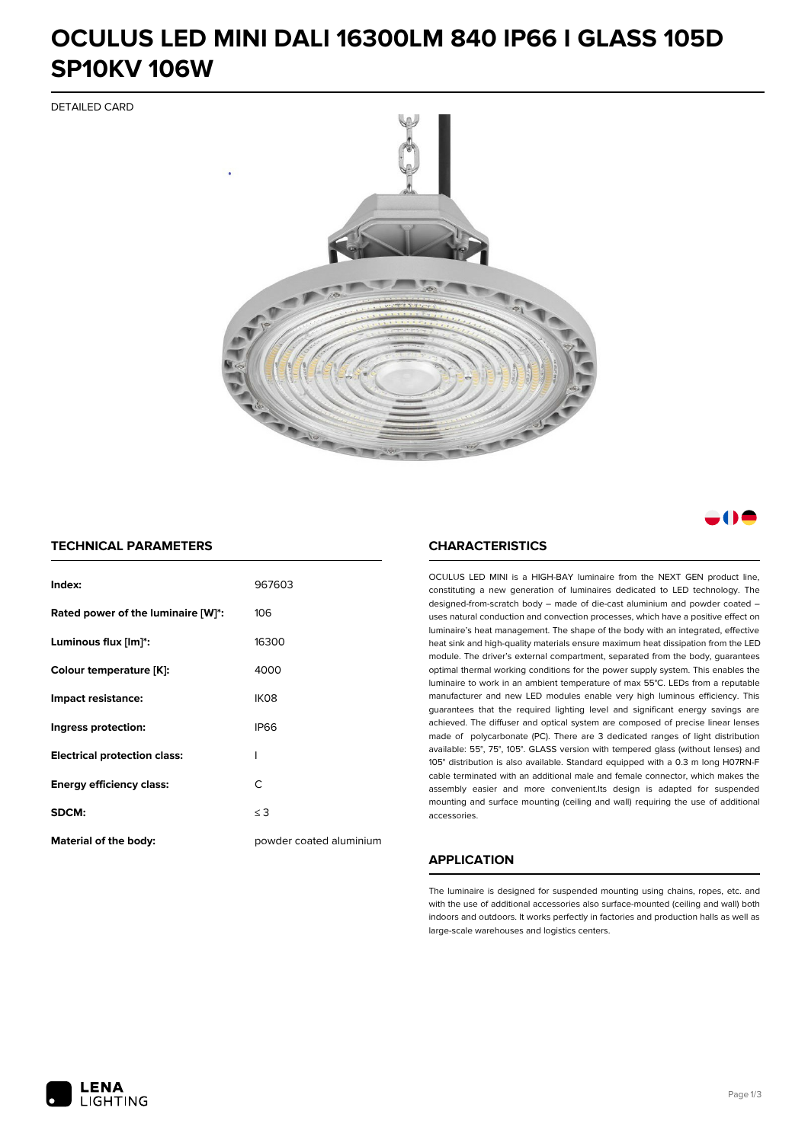## **OCULUS LED MINI DALI 16300LM 840 IP66 I GLASS 105D SP10KV 106W**

DETAILED CARD



a M

#### **TECHNICAL PARAMETERS**

| Index:                              | 967603                  |
|-------------------------------------|-------------------------|
| Rated power of the luminaire [W]*:  | 106                     |
| Luminous flux [lm]*:                | 16300                   |
| Colour temperature [K]:             | 4000                    |
| Impact resistance:                  | IK <sub>08</sub>        |
| Ingress protection:                 | <b>IP66</b>             |
| <b>Electrical protection class:</b> | ı                       |
| <b>Energy efficiency class:</b>     | C                       |
| SDCM:                               | $\leq$ 3                |
| <b>Material of the body:</b>        | powder coated aluminium |

#### **CHARACTERISTICS**

OCULUS LED MINI is a HIGH-BAY luminaire from the NEXT GEN product line, constituting a new generation of luminaires dedicated to LED technology. The designed-from-scratch body – made of die-cast aluminium and powder coated – uses natural conduction and convection processes, which have a positive effect on luminaire's heat management. The shape of the body with an integrated, effective heat sink and high-quality materials ensure maximum heat dissipation from the LED module. The driver's external compartment, separated from the body, guarantees optimal thermal working conditions for the power supply system. This enables the luminaire to work in an ambient temperature of max 55°C. LEDs from a reputable manufacturer and new LED modules enable very high luminous efficiency. This guarantees that the required lighting level and significant energy savings are achieved. The diffuser and optical system are composed of precise linear lenses made of polycarbonate (PC). There are 3 dedicated ranges of light distribution available: 55°, 75°, 105°. GLASS version with tempered glass (without lenses) and 105° distribution is also available. Standard equipped with a 0.3 m long H07RN-F cable terminated with an additional male and female connector, which makes the assembly easier and more convenient.Its design is adapted for suspended mounting and surface mounting (ceiling and wall) requiring the use of additional accessories.

### **APPLICATION**

The luminaire is designed for suspended mounting using chains, ropes, etc. and with the use of additional accessories also surface-mounted (ceiling and wall) both indoors and outdoors. It works perfectly in factories and production halls as well as large-scale warehouses and logistics centers.

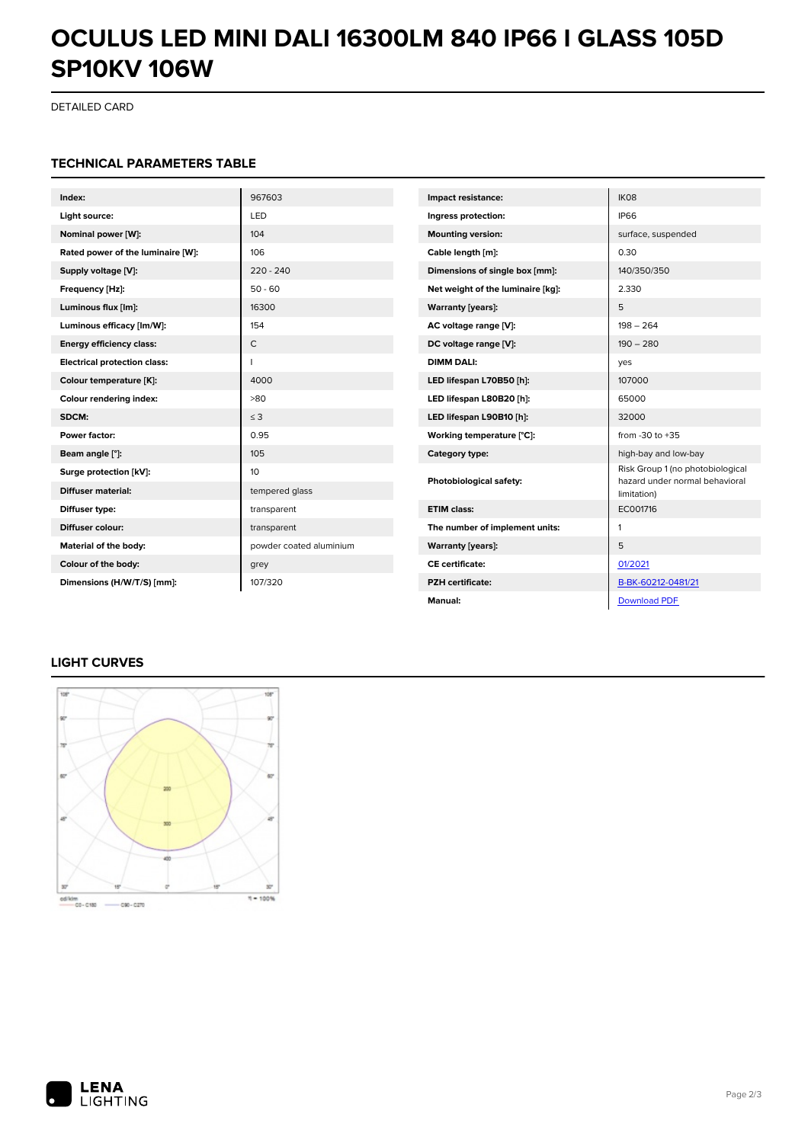## **OCULUS LED MINI DALI 16300LM 840 IP66 I GLASS 105D SP10KV 106W**

DETAILED CARD

### **TECHNICAL PARAMETERS TABLE**

| Index:                              | 967603                  | Impact resistance:                | IK08                                                               |
|-------------------------------------|-------------------------|-----------------------------------|--------------------------------------------------------------------|
| Light source:                       | LED                     | Ingress protection:               | <b>IP66</b>                                                        |
| Nominal power [W]:                  | 104                     | <b>Mounting version:</b>          | surface, suspended                                                 |
| Rated power of the luminaire [W]:   | 106                     | Cable length [m]:                 | 0.30                                                               |
| Supply voltage [V]:                 | $220 - 240$             | Dimensions of single box [mm]:    | 140/350/350                                                        |
| Frequency [Hz]:                     | $50 - 60$               | Net weight of the luminaire [kg]: | 2.330                                                              |
| Luminous flux [lm]:                 | 16300                   | <b>Warranty [years]:</b>          | 5                                                                  |
| Luminous efficacy [lm/W]:           | 154                     | AC voltage range [V]:             | $198 - 264$                                                        |
| <b>Energy efficiency class:</b>     | $\mathsf{C}$            | DC voltage range [V]:             | $190 - 280$                                                        |
| <b>Electrical protection class:</b> |                         | <b>DIMM DALI:</b>                 | yes                                                                |
| Colour temperature [K]:             | 4000                    | LED lifespan L70B50 [h]:          | 107000                                                             |
| Colour rendering index:             | >80                     | LED lifespan L80B20 [h]:          | 65000                                                              |
| SDCM:                               | $\leq$ 3                | LED lifespan L90B10 [h]:          | 32000                                                              |
| Power factor:                       | 0.95                    | Working temperature [°C]:         | from -30 to +35                                                    |
| Beam angle [°]:                     | 105                     | Category type:                    | high-bay and low-bay                                               |
| Surge protection [kV]:              | 10                      | Photobiological safety:           | Risk Group 1 (no photobiological<br>hazard under normal behavioral |
| <b>Diffuser material:</b>           | tempered glass          |                                   | limitation)                                                        |
| Diffuser type:                      | transparent             | <b>ETIM class:</b>                | EC001716                                                           |
| Diffuser colour:                    | transparent             | The number of implement units:    | 1                                                                  |
| Material of the body:               | powder coated aluminium | <b>Warranty [years]:</b>          | 5                                                                  |
| Colour of the body:                 | grey                    | <b>CE</b> certificate:            | 01/2021                                                            |
| Dimensions (H/W/T/S) [mm]:          | 107/320                 | <b>PZH</b> certificate:           | B-BK-60212-0481/21                                                 |
|                                     |                         | Manual:                           | <b>Download PDF</b>                                                |

### **LIGHT CURVES**